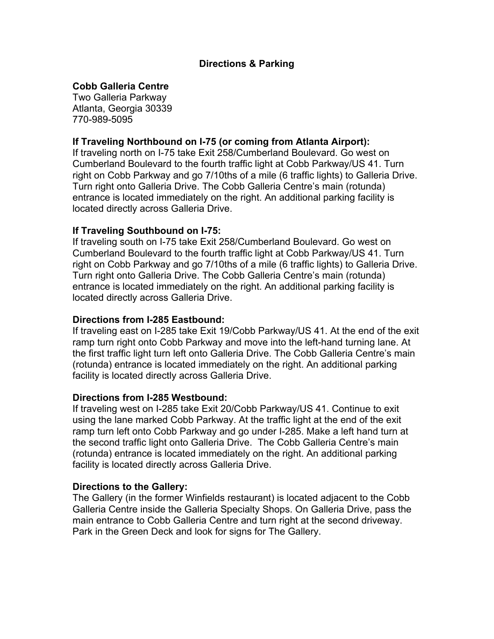# **Directions & Parking**

# **Cobb Galleria Centre**

Two Galleria Parkway Atlanta, Georgia 30339 770-989-5095

# **If Traveling Northbound on I-75 (or coming from Atlanta Airport):**

If traveling north on I-75 take Exit 258/Cumberland Boulevard. Go west on Cumberland Boulevard to the fourth traffic light at Cobb Parkway/US 41. Turn right on Cobb Parkway and go 7/10ths of a mile (6 traffic lights) to Galleria Drive. Turn right onto Galleria Drive. The Cobb Galleria Centre's main (rotunda) entrance is located immediately on the right. An additional parking facility is located directly across Galleria Drive.

### **If Traveling Southbound on I-75:**

If traveling south on I-75 take Exit 258/Cumberland Boulevard. Go west on Cumberland Boulevard to the fourth traffic light at Cobb Parkway/US 41. Turn right on Cobb Parkway and go 7/10ths of a mile (6 traffic lights) to Galleria Drive. Turn right onto Galleria Drive. The Cobb Galleria Centre's main (rotunda) entrance is located immediately on the right. An additional parking facility is located directly across Galleria Drive.

### **Directions from I-285 Eastbound:**

If traveling east on I-285 take Exit 19/Cobb Parkway/US 41. At the end of the exit ramp turn right onto Cobb Parkway and move into the left-hand turning lane. At the first traffic light turn left onto Galleria Drive. The Cobb Galleria Centre's main (rotunda) entrance is located immediately on the right. An additional parking facility is located directly across Galleria Drive.

#### **Directions from I-285 Westbound:**

If traveling west on I-285 take Exit 20/Cobb Parkway/US 41. Continue to exit using the lane marked Cobb Parkway. At the traffic light at the end of the exit ramp turn left onto Cobb Parkway and go under I-285. Make a left hand turn at the second traffic light onto Galleria Drive. The Cobb Galleria Centre's main (rotunda) entrance is located immediately on the right. An additional parking facility is located directly across Galleria Drive.

#### **Directions to the Gallery:**

The Gallery (in the former Winfields restaurant) is located adjacent to the Cobb Galleria Centre inside the Galleria Specialty Shops. On Galleria Drive, pass the main entrance to Cobb Galleria Centre and turn right at the second driveway. Park in the Green Deck and look for signs for The Gallery.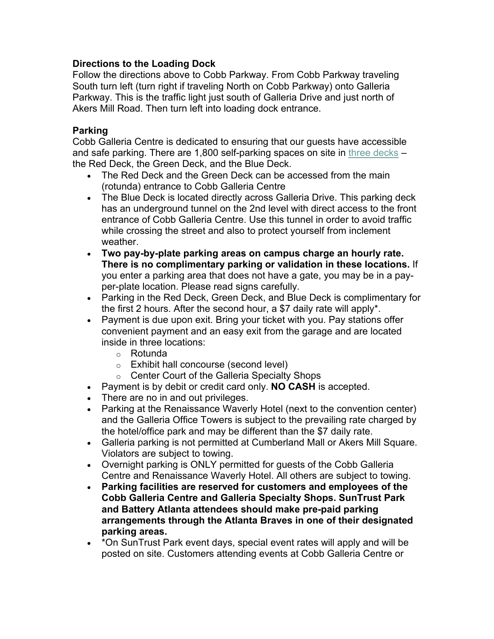# **Directions to the Loading Dock**

Follow the directions above to Cobb Parkway. From Cobb Parkway traveling South turn left (turn right if traveling North on Cobb Parkway) onto Galleria Parkway. This is the traffic light just south of Galleria Drive and just north of Akers Mill Road. Then turn left into loading dock entrance.

# **Parking**

Cobb Galleria Centre is dedicated to ensuring that our guests have accessible and safe parking. There are 1,800 self-parking spaces on site in three decks – the Red Deck, the Green Deck, and the Blue Deck.

- The Red Deck and the Green Deck can be accessed from the main (rotunda) entrance to Cobb Galleria Centre
- The Blue Deck is located directly across Galleria Drive. This parking deck has an underground tunnel on the 2nd level with direct access to the front entrance of Cobb Galleria Centre. Use this tunnel in order to avoid traffic while crossing the street and also to protect yourself from inclement weather.
- **Two pay-by-plate parking areas on campus charge an hourly rate. There is no complimentary parking or validation in these locations.** If you enter a parking area that does not have a gate, you may be in a payper-plate location. Please read signs carefully.
- Parking in the Red Deck, Green Deck, and Blue Deck is complimentary for the first 2 hours. After the second hour, a \$7 daily rate will apply\*.
- Payment is due upon exit. Bring your ticket with you. Pay stations offer convenient payment and an easy exit from the garage and are located inside in three locations:
	- o Rotunda
	- o Exhibit hall concourse (second level)
	- o Center Court of the Galleria Specialty Shops
- Payment is by debit or credit card only. **NO CASH** is accepted.
- There are no in and out privileges.
- Parking at the Renaissance Waverly Hotel (next to the convention center) and the Galleria Office Towers is subject to the prevailing rate charged by the hotel/office park and may be different than the \$7 daily rate.
- Galleria parking is not permitted at Cumberland Mall or Akers Mill Square. Violators are subject to towing.
- Overnight parking is ONLY permitted for guests of the Cobb Galleria Centre and Renaissance Waverly Hotel. All others are subject to towing.
- **Parking facilities are reserved for customers and employees of the Cobb Galleria Centre and Galleria Specialty Shops. SunTrust Park and Battery Atlanta attendees should make pre-paid parking arrangements through the Atlanta Braves in one of their designated parking areas.**
- \*On SunTrust Park event days, special event rates will apply and will be posted on site. Customers attending events at Cobb Galleria Centre or